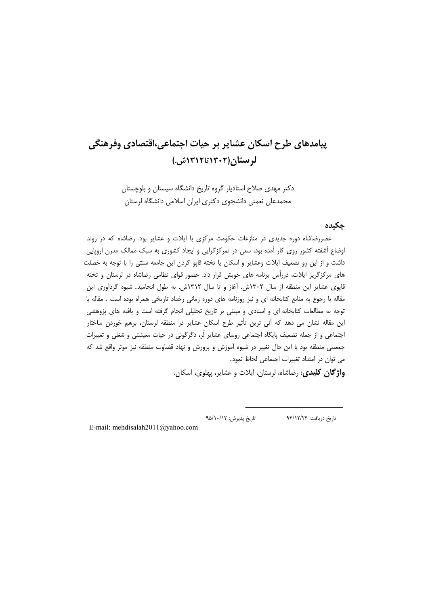# پیامدهای طرح اسکان عشایر بر حیات اجتماعی،اقتصادی وفرهنگی لرستان(۱۳۰۲تا۱۳۱۳ش)

دکتر مهدی صلاح استادیار گروه تاریخ دانشگاه سیستان و بلوچستان محمدعلی نعمتی دانشجوی دکتری ایران اسلامی دانشگاه لرستان

### حكيده

عصررضاشاه دوره جدیدی در منازعات حکومت مرکزی با ایلات و عشایر بود. رضاشاه که در روند اوضاع آشفته کشور روی کار آمده بود، سعی در تمرکزگرایی و ایجاد کشوری به سبک ممالک مدرن اروپایی داشت و از این رو تضعیف ایلات وعشایر و اسکان یا تخته قاپو کردن این جامعه سنتی را با توجه به خصلت های مرکزگریز ایلات، دررأس برنامه های خویش قرار داد. حضور قوای نظامی رضاشاه در لرستان و تخته قایوی عشایر این منطقه از سال ۱۳۰۲ش. آغاز و تا سال ۱۳۱۲ش. به طول انجامید. شیوه گردآوری این مقاله با رجوع به منابع کتابخانه ای و نیز روزنامه های دوره زمانی رخداد تاریخی همراه بوده است . مقاله با توجه به مطالعات کتابخانه ای و اسنادی و مبتنی بر تاریخ تحلیلی انجام گرفته است و یافته های پژوهشی این مقاله نشان می دهد که آنی ترین تأثیر طرح اسکان عشایر در منطقه لرستان، برهم خوردن ساختار اجتماعی و از جمله تضعیف پایگاه اجتماعی روسای عشایر لُر، دگرگونی در حیات معیشتی و شغلی و تغییرات جمعیتی منطقه بود با این حال تغییر در شیوه آموزش و پرورش و نهاد قضاوت منطقه نیز موثر واقع شد که می توان در امتداد تغییرات اجتماعی لحاظ نمود.

**واژگان کلیدی**: رضاشاه، لرستان، ایلات و عشایر، پهلوی، اسکان.

تاریخ پذیرش: ۹۵/۱۰/۱۲ تاریخ دریافت: ۹۴/۱۲/۲۴

E-mail: mehdisalah2011@yahoo.com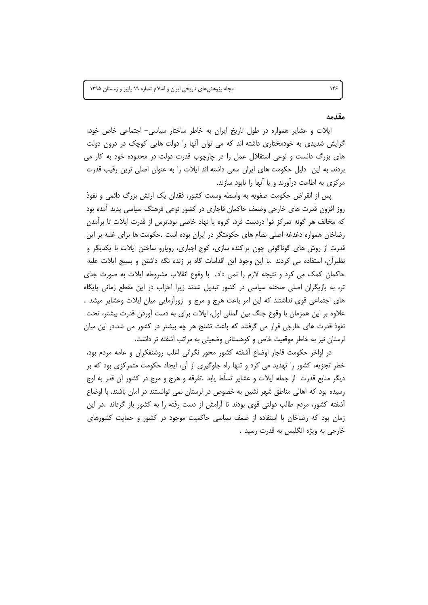#### مقدمه

ایلات و عشایر همواره در طول تاریخ ایران به خاطر ساختار سیاسی- اجتماعی خاص خود، گرایش شدیدی به خودمختاری داشته اند که می توان آنها را دولت هایی کوچک در درون دولت های بزرگ دانست و نوعی استقلال عمل را در چارچوب قدرت دولت در محدوده خود به کار می بردند. به این ِ دلیل حکومت های ایران سعی داشته اند ایلات را به عنوان اصلی ترین رقیب قدرت مرکزی به اطاعت درآورند و یا آنها را نابود سازند.

پس از انقراض حکومت صفویه به واسطه وسعت کشور، فقدان یک ارتش بزرگ دائمی و نفوذ روز افزون قدرت های خارجی وضعف حاکمان قاجاری در کشور نوعی فرهنگ سیاسی پدید آمده بود که مخالف هر گونه تمرکز قوا دردست فرد، گروه یا نهاد خاصی بود.ترس از قدرت ایلات تا برآمدن رضاخان همواره دغدغه اصلی نظام های حکومتگر در ایران بوده است .حکومت ها برای غلبه بر این قدرت از روش های گوناگونی چون پراکنده سازی، کوچ اجباری، رویارو ساختن ایلات با یکدیگر و نظیراًن، استفاده می کردند .با این وجود این اقدامات گاه بر زنده نگه داشتن و بسیج ایلات علیه حاکمان کمک می کرد و نتیجه لازم را نمی داد. با وقوع انقلاب مشروطه ایلات به صورت جدّی تر، به بازیگران اصلی صحنه سیاسی در کشور تبدیل شدند زیرا احزاب در این مقطع زمانی پایگاه های اجتماعی قوی نداشتند که این امر باعث هرج و مرج و زورازمایی میان ایلات وعشایر میشد . علاوه بر این همزمان با وقوع جنگ بین المللی اول، ایلات برای به دست آوردن قدرت بیشتر، تحت نفوذ قدرت های خارجی قرار می گرفتند که باعث تشنج هر چه بیشتر در کشور می شد.در این میان لرستان نیز به خاطر موقعیت خاص و کوهستانی وضعیتی به مراتب آشفته تر داشت.

در اواخر حکومت قاجار اوضاع آشفته کشور محور نگرانی اغلب روشنفکران و عامه مردم بود، خطر تجزیه، کشور را تهدید می کرد و تنها راه جلوگیری از آن، ایجاد حکومت متمرکزی بود که بر دیگر منابع قدرت ًاز جمله ایلات و عشایر تسلُّط یابد .تفرقه و هرج و مرج در کشور اّن قدر به اوج رسیده بود که اهالی مناطق شهر نشین به خصوص در لرستان نمی توانستند در امان باشند. با اوضاع آشفته کشور، مردم طالب دولتی قوی بودند تا آرامش از دست رفته را به کشور باز گرداند .در این زمان بود که رضاخان با استفاده از ضعف سیاسی حاکمیت موجود در کشور و حمایت کشورهای خارجي به ويژه انگليس به قدرت رسيد .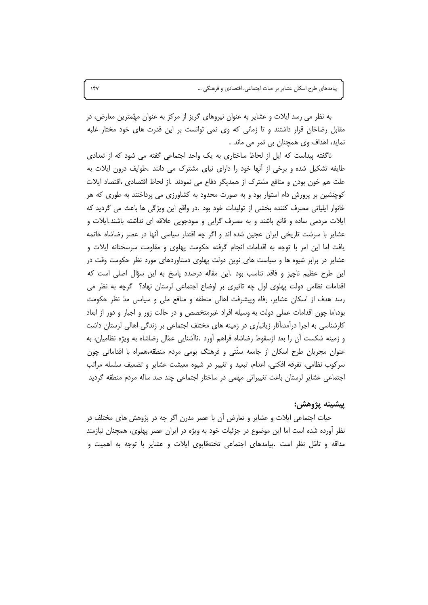به نظر می رسد ایلات و عشایر به عنوان نیروهای گریز از مرکز به عنوان مهّمترین معارض، در مقابل رضاخان قرار داشتند و تا زمانی که وی نمی توانست بر این قدرت های خود مختار غلبه نماید، اهداف وی همچنان بی ثمر می ماند .

ناگفته پیداست که ایل از لحاظ ساختاری به یک واحد اجتماعی گفته می شود که از تعدادی طایفه تشکیل شده و برخی از آنها خود را دارای نیای مشترک می دانند .طوایف درون ایلات به علت هم خون بودن و منافع مشترک از همدیگر دفاع می نمودند .از لحاظ اقتصادی ،اقتصاد ایلات کوچنشین بر پرورش دام استوار بود و به صورت محدود به کشاورزی می پرداختند به طوری که هر خانوار ایلیاتی مصرف کننده بخشی از تولیدات خود بود .در واقع این ویژگی ها باعث می گردید که ایلات مردمی ساده و قانع باشند و به مصرف گرایی و سودجویی علاقه ای نداشته باشند.ایلات و عشایر با سرشت تاریخی ایران عجین شده اند و اگر چه اقتدار سیاسی آنها در عصر رضاشاه خاتمه یافت اما این امر با توجه به اقدامات انجام گرفته حکومت پهلوی و مقاومت سرسختانه ایلات و عشایر در برابر شیوه ها و سیاست های نوین دولت پهلوی دستاوردهای مورد نظر حکومت وقت در این طرح عظیم ناچیز و فاقد تناسب بود .این مقاله درصدد پاسخ به این سؤال اصلی است که اقدامات نظامی دولت پهلوی اول چه تاثیری بر اوضاع اجتماعی لرستان نهاد؟ گرچه به نظر می رسد هدف از اسکان عشایر، رفاه وپیشرفت اهالی منطقه و منافع ملی و سیاسی مدّ نظر حکومت بود،اما چون اقدامات عملی دولت به وسیله افراد غیرمتخصص و در حالت زور و اجبار و دور از ابعاد کارشناسی به اجرا درآمد،آثار زیانباری در زمینه های مختلف اجتماعی بر زندگی اهالی لرستان داشت و زمینه شکست آن را بعد ازسقوط رضاشاه فراهم آورد .ناآشنایی عمّال رضاشاه به ویژه نظامیان، به عنوان مجریان طرح اسکان از جامعه سنتی و فرهنگ بومی مردم منطقه،همراه با اقداماتی چون سرکوب نظامی، تفرقه افکنی، اعدام، تبعید و تغییر در شیوه معیشت عشایر و تضعیف سلسله مراتب اجتماعی عشایر لرستان باعث تغییراتی مهمی در ساختار اجتماعی چند صد ساله مردم منطقه گردید

#### ييشينه يژوهش:

حیات اجتماعی ایلات و عشایر و تعارض آن با عصر مدرن اگر چه در پژوهش های مختلف در نظر آورده شده است اما این موضوع در جزئیات خود به ویژه در ایران عصر پهلوی، همچنان نیازمند مداقه و تامّل نظر است .پیامدهای اجتماعی تختهقاپوی ایلات و عشایر با توجه به اهمیت و

 $\gamma$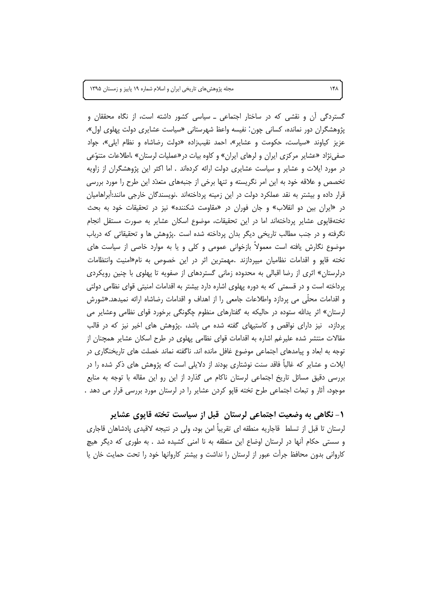مجله پژوهشهای تاریخی ایران و اسلام شماره ١٩ پاییز و زمستان ١٣٩۵

گستردگی آن و نقشی که در ساختار اجتماعی ــ سیاسی کشور داشته است، از نگاه محققان و یژوهشگران دور نمانده، کسانی چون: نفیسه واعظ شهرستانی «سیاست عشایری دولت پهلوی اول»، عزیز کیاوند «سیاست، حکومت و عشایر»، احمد نقیبزاده «دولت رضاشاه و نظام ایلی»، جواد صفی نژاد «عشایر مرکزی ایران و لرهای ایران» و کاوه بیات در«عملیات لرستان» ،اطلاعات متنوّعی در مورد ایلات و عشایر و سیاست عشایری دولت ارائه کردهاند . اما اکثر این پژوهشگران از زاویه تخصص و علاقه خود به این امر نگریسته و تنها برخی از جنبههای متعدّد این طرح را مورد بررسی قرار داده و بیشتر به نقد عملکرد دولت در این زمینه پرداختهاند .نویسندگان خارجی مانند:آبراهامیان در «ایران بین دو انقلاب» و جان فوران در «مقاومت شکننده» نیز در تحقیقات خود به بحث تختهقاپوی عشایر پرداختهاند اما در این تحقیقات، موضوع اسکان عشایر به صورت مستقل انجام نگرفته و در جنب مطالب تاریخی دیگر بدان پرداخته شده است .پژوهش ها و تحقیقاتی که درباب موضوع نگارش یافته است معمولاً بازخوانی عمومی و کلی و یا به موارد خاصی از سیاست های تخته قاپو و اقدامات نظامیان میپردازند .مهمترین اثر در این خصوص به نام«امنیت وانتظامات درلرستان» اثری از رضا اقبالی به محدوده زمانی گستردهای از صفویه تا پهلوی با چنین رویکردی پرداخته است و در قسمتی که به دوره پهلوی اشاره دارد بیشتر به اقدامات امنیتی قوای نظامی دولتی و اقدامات محلَّى مي پردازد واطلاعات جامعي را از اهداف و اقدامات رضاشاه ارائه نميدهد.«شورش لرستان» اثر یدالله ستوده در حالیکه به گفتارهای منظوم چگونگی برخورد قوای نظامی وعشایر می پردازد، نیز دارای نواقص و کاستیهای گفته شده می باشد، .پژوهش های اخیر نیز که در قالب مقالات منتشر شده علیرغم اشاره به اقدامات قوای نظامی پهلوی در طرح اسکان عشایر همچنان از توجه به ابعاد و پیامدهای اجتماعی موضوع غافل مانده اند. ناگفته نماند خصلت های تاریخنگاری در ایلات و عشایر که غالباً فاقد سنت نوشتاری بودند از دلایلی است که پژوهش های ذکر شده را در بررسی دقیق مسائل تاریخ اجتماعی لرستان ناکام می گذارد از این رو این مقاله با توجه به منابع موجود، أثار و تبعات اجتماعي طرح تخته قاپو كردن عشاير را در لرستان مورد بررسي قرار مي دهد .

۱- نگاهی به وضعیت اجتماعی لرستان ٍ قبل از سیاست تخته قاپوی عشایر لرستان تا قبل از تسلط قاجاریه منطقه ای تقریباً امن بود، ولی در نتیجه لاقیدی پادشاهان قاجاری و سستی حکام آنها در لرستان اوضاع این منطقه به نا امنی کشیده شد . به طوری که دیگر هیچ كارواني بدون محافظ جرأت عبور از لرستان را نداشت و بيشتر كاروانها خود را تحت حمايت خان يا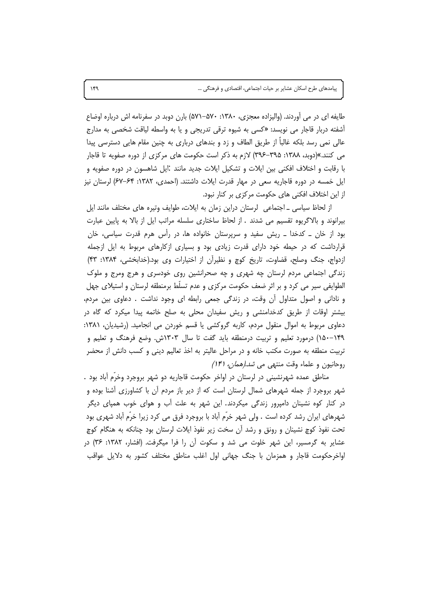طایفه ای در می آوردند. (والیزاده معجزی، ۱۳۸۰: ۵۷۰–۵۷۱) بارن دوبد در سفرنامه اش درباره اوضاع آشفته دربار قاجار می نویسد: «کسی به شیوه ترقی تدریجی و یا به واسطه لیاقت شخصی به مدارج عالی نمی رسد بلکه غالبا از طریق الطاف و زد و بندهای درباری به چنین مقام هایی دسترسی پیدا می کنند.»(دوبد، ۱۳۸۸: ۳۹۵–۳۹۶) لازم به ذکر است حکومت های مرکزی از دوره صفویه تا قاجار با رقابت و اختلاف افکنی بین ایلات و تشکیل ایلات جدید مانند :ایل شاهسون در دوره صفویه و ایل خمسه در دوره قاجاریه سعی در مهار قدرت ایلات داشتند. (احمدی، ۱۳۸۲: ۶۴–۶۷) لرستان نیز از این اختلاف افکنی های حکومت مرکزی بر کنار نبود.

از لحاظ سیاسی ـ اجتماعی لرستان دراین زمان به ایلات، طوایف وتیره های مختلف مانند ایل بیرانوند و بالاگریوه تقسیم می شدند . از لحاظ ساختاری سلسله مراتب ایل از بالا به پایین عبارت بود از خان \_ کدخدا \_ ریش سفید و سرپرستان خانواده ها، در رأس هرم قدرت سیاسی، خان قرارداشت که در حیطه خود دارای قدرت زیادی بود و بسیاری ازکارهای مربوط به ایل ازجمله ازدواج، جنگ وصلح، قضاوت، تاریخ کوچ و نظیراًن از اختیارات وی بود.(خدابخشی، ۱۳۸۴: ۴۳) زندگی اجتماعی مردم لرستان چه شهری و چه صحرانشین روی خودسری و هرج ومرج و ملوک الطوایفی سیر می کرد و بر اثر ضعف حکومت مرکزی و عدم تسلّط برمنطقه لرستان و استیلای جهل و نادانی و اصول متداول أن وقت، در زندگی جمعی رابطه ای وجود نداشت . دعاوی بین مردم، بیشتر اوقات از طریق کدخدامنشی و ریش سفیدان محلی به صلح خاتمه پیدا میکرد که گاه در دعاوی مربوط به اموال منقول مردم، کاربه گروکشی یا قسم خوردن می انجامید. (رشیدیان، ۱۳۸۱: ۱۴۹–۱۵۰) درمورد تعلیم و تربیت درمنطقه باید گفت تا سال ۱۳۰۳ش. وضع فرهنگ و تعلیم و تربیت منطقه به صورت مکتب خانه و در مراحل عالیتر به اخذ تعالیم دینی و کسب دانش از محضر روحانیون و علماء وقت منتهی می *شد.(همان، ۱۴۱)* 

مناطق عمده شهرنشینی در لرستان در اواخر حکومت قاجاریه دو شهر بروجرد وخرّم آباد بود . شهر بروجرد از جمله شهرهای شمال لرستان است که از دیر باز مردم آن با کشاورزی آشنا بوده و در کنار کوه نشینان دامپرور زندگی میکردند. این شهر به علت آب و هوای خوب همپای دیگر شهرهای ایران رشد کرده است . ولی شهر خرّم آباد با بروجرد فرق می کرد زیرا خرّم آباد شهری بود تحت نفوذ کوچ نشینان و رونق و رشد آن سخت زیر نفوذ ایلات لرستان بود چنانکه به هنگام کوچ عشایر به گرمسیر، این شهر خلوت می شد و سکوت اًن را فرا میگرفت. (افشار، ۱۳۸۲: ۳۶) در اواخرحکومت قاجار و همزمان با جنگ جهانی اول اغلب مناطق مختلف کشور به دلایل عواقب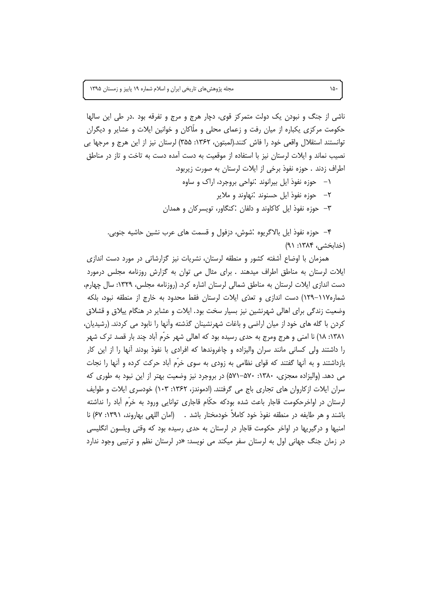ناشی از جنگ و نبودن یک دولت متمرکز قوی، دچار هرج و مرج و تفرقه بود .در طی این سالها حکومت مرکزی پکباره از میان رفت و زعمای محلی و ملّاکان و خوانین ایلات و عشایر و دیگران توانستند استقلال واقعی خود را فاش كنند.(لمبتون، ۱۳۶۲: ۳۵۵) لرستان نیز از این هرج و مرجها بی نصیب نماند و ایلات لرستان نیز با استفاده از موقعیت به دست آمده دست به تاخت و تاز در مناطق اطراف زدند . حوزه نفوذ برخی از ایلات لرستان به صورت زیربود.

> حوزه نفوذ ایل بیرانوند :نواحی بروجرد، اراک و ساوه  $-$ ٢– حوزه نفوذ ایل حسنوند .نهاوند و ملایر ۳– حوزه نفوذ ایل کاکاوند و دلفان :کنگاور، تویسرکان و همدان

۴– حوزه نفوذ ایل بالاگریوه :شوش، دزفول و قسمت های عرب نشین حاشیه جنوبی. (خدابخشی، ۱۳۸۴: ۹۱)

همزمان با اوضاع آشفته کشور و منطقه لرستان، نشریات نیز گزارشاتی در مورد دست اندازی ایلات لرستان به مناطق اطراف میدهند . برای مثال می توان به گزارش روزنامه مجلس درمورد دست اندازی ایلات لرستان به مناطق شمالی لرستان اشاره کرد. (روزنامه مجلس، ۱۳۲۹: سال چهارم، شماره۱۱۷–۱۲۹) دست اندازی و تعدّی ایلات لرستان فقط محدود به خارج از منطقه نبود، بلکه وضعیت زندگی برای اهالی شهرنشین نیز بسیار سخت بود. ایلات و عشایر در هنگام پیلاق و قشلاق کردن با گله های خود از میان اراضی و باغات شهرنشینان گذشته وآنها را نابود می کردند. (رشیدیان، ١٣٨١: ١٨) نا امنى و هرج ومرج به حدى رسيده بود كه اهالى شهر خرَّم آباد چند بار قصد ترك شهر را داشتند ولی کسانی مانند سران والیزاده و چاغروندها که افرادی با نفوذ بودند آنها را از این کار بازداشتند و به آنها گفتند که قوای نظامی به زودی به سوی خرّم آباد حرکت کرده و آنها را نجات می دهد. (والیزاده معجزی، ۱۳۸۰: ۵۷۰–۵۷۱) در بروجرد نیز وضعیت بهتر از این نبود به طوری که سران ایلات از کاروان های تجاری باج می گرفتند. (ادموندز، ۱۳۶۲: ۱۰۳) خودسری ایلات و طوایف لرستان در اواخرحکومت قاجار باعث شده بودکه حکّام قاجاری توانایی ورود به خرّم آباد را نداشته باشند و هر طايفه در منطقه نفوذ خود كاملاً خودمختار باشد . (امان اللهي بهاروند، ١٣٩١: ۶۷) نا امنیها و درگیریها در اواخر حکومت قاجار در لرستان به حدی رسیده بود که وقتی ویلسون انگلیسی در زمان جنگ جهانی اول به لرستان سفر میکند می نویسد: «در لرستان نظم و ترتیبی وجود ندارد

 $\lambda \Delta$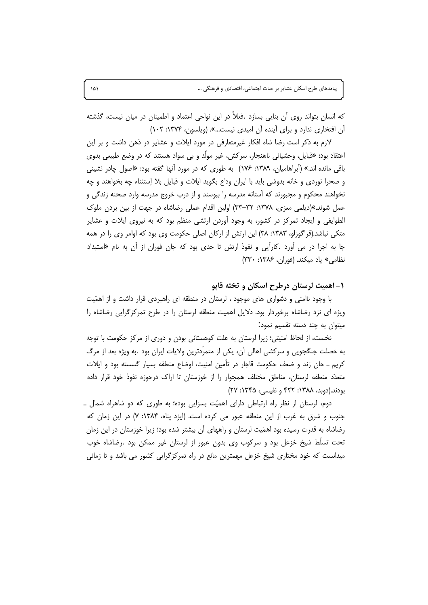که انسان بتواند روی آن بنایی بسازد .فعلاً در این نواحی اعتماد و اطمینان در میان نیست، گذشته آن افتخاری ندارد و برای آینده آن امیدی نیست...». (ویلسون، ۱۳۷۴: ۱۰۲)

لازم به ذکر است رضا شاه افکار غیرمتعارفی در مورد ایلات و عشایر در ذهن داشت و بر این اعتقاد بود: «قبایل، وحشیانی ناهنجار، سرکش، غیر مولَّد و بی سواد هستند که در وضع طبیعی بدوی باقی مانده اند.» (اَبراهامیان، ۱۳۸۹: ۱۷۶) به طوری که در مورد آنها گفته بود: «اصول چادر نشینی و صحرا نوردی و خانه بدوشی باید با ایران وداع بگوید ایلات و قبایل بلا إستثناء چه بخواهند و چه نخواهند محکوم و مجبورند که آستانه مدرسه را ببوسند و از درب خروج مدرسه وارد صحنه زندگی و عمل شوند.»(دیلمی معزی، ۱۳۷۸: ۳۲–۳۳) اولین اقدام عملی رضاشاه در جهت از بین بردن ملوک الطوایفی و ایجاد تمرکز در کشور، به وجود اّوردن ارتشی منظم بود که به نیروی ایلات و عشایر متکی نباشد.(قراگوزلو، ۱۳۸۳: ۳۸) این ارتش از ارکان اصلی حکومت وی بود که اوامر وی را در همه جا به اجرا در می اَورد .کاراًیی و نفوذ ارتش تا حدی بود که جان فوران از آن به نام «استبداد نظامی» یاد میکند. (فوران، ۱۳۸۶: ۳۳۰)

۱- اهمیت لرستان درطرح اسکان و تخته قاپو

با وجود ناامنی و دشواری های موجود ، لرستان در منطقه ای راهبردی قرار داشت و از اهمّیت ویژه ای نزد رضاشاه برخوردار بود. دلایل اهمیت منطقه لرستان را در طرح تمرکزگرایی رضاشاه را میتوان به چند دسته تقسیم نمود:

نخست، از لحاظ امنیتی؛ زیرا لرستان به علت کوهستانی بودن و دوری از مرکز حکومت با توجه به خصلت جنگجویی و سرکشی اهالی آن، یکی از متمرّدترین ولایات ایران بود .به ویژه بعد از مرگ کریم ـ خان زند و ضعف حکومت قاجار در تأمین امنیت، اوضاع منطقه بسیار گسسته بود و ایلات متعدّد منطقه لرستان، مناطق مختلف همجوار را از خوزستان تا اراک درحوزه نفوذ خود قرار داده بودند.(دوبد، ۱۳۸۸: ۴۲۲ و نفیسی، ۱۳۴۵: ۲۷)

دوم، لرستان از نظر راه ارتباطی دارای اهمیّت بسزایی بوده؛ به طوری که دو شاهراه شمال ـ جنوب و شرق به غرب از این منطقه عبور می کرده است. (ایزد پناه، ۱۳۸۴: ۷) در این زمان که رضاشاه به قدرت رسیده بود اهمَیت لرستان و راههای آن بیشتر شده بود؛ زیرا خوزستان در این زمان تحت تسلَّط شیخ خزعل بود و سرکوب وی بدون عبور از لرستان غیر ممکن بود .رضاشاه خوب میدانست که خود مختاری شیخ خزعل مهمترین مانع در راه تمرکزگرایی کشور می باشد و تا زمانی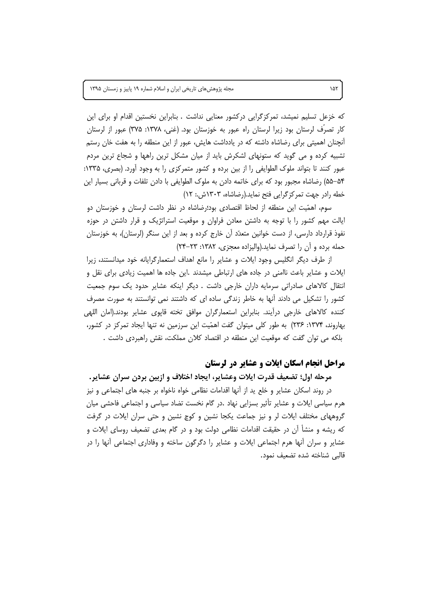مجله پژوهشهای تاریخی ایران و اسلام شماره ١٩ پاییز و زمستان ١٣٩۵

که خزعل تسلیم نمیشد، تمرکزگرایی درکشور معنایی نداشت . بنابراین نخستین اقدام او برای این کار تصرّف لرستان بود زیرا لرستان راه عبور به خوزستان بود. (غنی، ۱۳۷۸: ۳۷۵) عبور از لرستان أنچنان اهمیتی برای رضاشاه داشته که در یادداشت هایش، عبور از این منطقه را به هفت خان رستم تشبیه کرده و می گوید که ستونهای لشکرش باید از میان مشکل ترین راهها و شجاع ترین مردم عبور کنند تا بتواند ملوک الطوایفی را از بین برده و کشور متمرکزی را به وجود آورد. (بصری، ۱۳۳۵: ۵۴–۵۵) رضاشاه مجبور بود که برای خاتمه دادن به ملوک الطوایفی با دادن تلفات و قربانی بسیار این خطه رادر جهت تمركزگرايي فتح نمايد.(رضاشاه، ١٣٠٣ش.: ١٢)

سوم، اهمّیت این منطقه از لحاظ اقتصادی بود؛رضاشاه در نظر داشت لرستان و خوزستان دو ایالت مهم کشور را با توجه به داشتن معادن فراوان و موقعیت استراتژیک و قرار داشتن در حوزه نفوذ قرارداد دارسی، از دست خوانین متعدّد آن خارج کرده و بعد از این سنگر (لرستان)، به خوزستان حمله برده و آن را تصرف نماید.(والیزاده معجزی، ۱۳۸۲: ۲۳–۲۴)

از طرف دیگر انگلیس وجود ایلات و عشایر را مانع اهداف استعمارگرایانه خود میدانستند، زیرا ایلات و عشایر باعث ناامنی در جاده های ارتباطی میشدند .این جاده ها اهمیت زیادی برای نقل و انتقال کالاهای صادراتی سرمایه داران خارجی داشت . دیگر اینکه عشایر حدود یک سوم جمعیت کشور را تشکیل می دادند آنها به خاطر زندگی ساده ای که داشتند نمی توانستند به صورت مصرف كننده كالاهاى خارجى درآيند. بنابراين استعمارگران موافق تخته قايوى عشاير بودند.(امان اللهى بهاروند، ۱۳۷۴: ۲۳۶) به طور کلی میتوان گفت اهمّیت این سرزمین نه تنها ایجاد تمرکز در کشور، بلکه می توان گفت که موقعیت این منطقه در اقتصاد کلان مملکت، نقش راهبردی داشت .

#### مراحل انجام اسکان ایلات و عشایر در لرستان

مرحله اول؛ تضعيف قدرت ايلات وعشاير، ايجاد اختلاف و ازبين بردن سران عشاير. در روند اسکان عشایر و خلع ید از آنها اقدامات نظامی خواه ناخواه بر جنبه های اجتماعی و نیز هرم سیاسی ایلات و عشایر تأثیر بسزایی نهاد .در گام نخست تضاد سیاسی و اجتماعی فاحشی میان گروههای مختلف ایلات لر و نیز جماعت یکجا نشین و کوچ نشین و حتی سران ایلات در گرفت که ریشه و منشأ آن در حقیقت اقدامات نظامی دولت بود و در گام بعدی تضعیف روسای ایلات و عشایر و سران أنها هرم اجتماعی ایلات و عشایر را دگرگون ساخته و وفاداری اجتماعی أنها را در قالبي شناخته شده تضعيف نمود.

 $\lambda \Delta \Upsilon$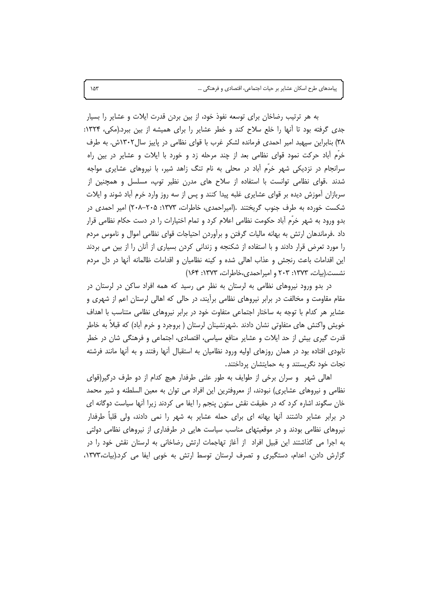به هر ترتیب رضاخان برای توسعه نفوذ خود، از بین بردن قدرت ایلات و عشایر را بسیار جدی گرفته بود تا آنها را خلع سلاح کند و خطر عشایر را برای همیشه از بین ببرد.(مکی، ۱۳۲۴: ٣٨) بنابراين سپهبد امير احمدى فرمانده لشكر غرب با قواى نظامى در پاييز سال١٣٠٢ش. به طرف خرَّم أباد حركت نمود قواي نظامي بعد از چند مرحله زد و خورد با ايلات و عشاير در بين راه سرانجام در نزدیکی شهر خرّم آباد در محلی به نام تنگ زاهد شیر، با نیروهای عشایری مواجه شدند .قوای نظامی توانست با استفاده از سلاح های مدرن نظیر توپ، مسلسل و همچنین از سربازان آموزش دیده بر قوای عشایری غلبه پیدا کنند و پس از سه روز وارد خرم آباد شوند و ایلات شکست خورده به طرف جنوب گریختند .(امپراحمدی، خاطرات، ۱۳۷۳: ۲۰۵–۲۰۸) امیر احمدی در بدو ورود به شهر خرَّم آباد حکومت نظامی اعلام کرد و تمام اختیارات را در دست حکام نظامی قرار داد .فرماندهان ارتش به بهانه مالیات گرفتن و برآوردن احتیاجات قوای نظامی اموال و ناموس مردم را مورد تعرض قرار دادند و با استفاده از شکنجه و زندانی کردن بسیاری از آنان را از بین می بردند این اقدامات باعث رنجش و عذاب اهالی شده و کینه نظامیان و اقدامات ظالمانه آنها در دل مردم نشست.(بیات، ۱۳۷۳: ۲۰۳ و امیراحمدی،خاطرات، ۱۳۷۳: ۱۶۴)

در بدو ورود نیروهای نظامی به لرستان به نظر می رسید که همه افراد ساکن در لرستان در مقام مقاومت و مخالفت در برابر نیروهای نظامی برآیند، در حالی که اهالی لرستان اعم از شهری و عشایر هر کدام با توجه به ساختار اجتماعی متفاوت خود در برابر نیروهای نظامی متناسب با اهداف خویش واکنش های متفاوتی نشان دادند .شهرنشینان لرستان ( بروجرد و خرم أباد) که قبلاً به خاطر قدرت گیری بیش از حد ایلات و عشایر منافع سیاسی، اقتصادی، اجتماعی و فرهنگی شان در خطر نابودی افتاده بود در همان روزهای اولیه ورود نظامیان به استقبال آنها رفتند و به آنها مانند فرشته نجات خود نگریستند و به حمایتشان پرداختند.

اهالی شهر و سران برخی از طوایف به طور علنی طرفدار هیچ کدام از دو طرف درگیر(قوای نظامی و نیروهای عشایری) نبودند، از معروفترین این افراد می توان به معین السلطنه و شیر محمد خان سگوند اشاره کرد که در حقیقت نقش ستون پنجم را ایفا می کردند زیرا آنها سیاست دوگانه ای در برابر عشایر داشتند آنها بهانه ای برای حمله عشایر به شهر را نمی دادند، ولی قلباً طرفدار نیروهای نظامی بودند و در موقعیتهای مناسب سیاست هایی در طرفداری از نیروهای نظامی دولتی به اجرا می گذاشتند این قبیل افراد از آغاز تهاجمات ارتش رضاخانی به لرستان نقش خود را در گزارش دادن، اعدام، دستگیری و تصرف لرستان توسط ارتش به خوبی ایفا می کرد.(بیات،۱۳۷۳،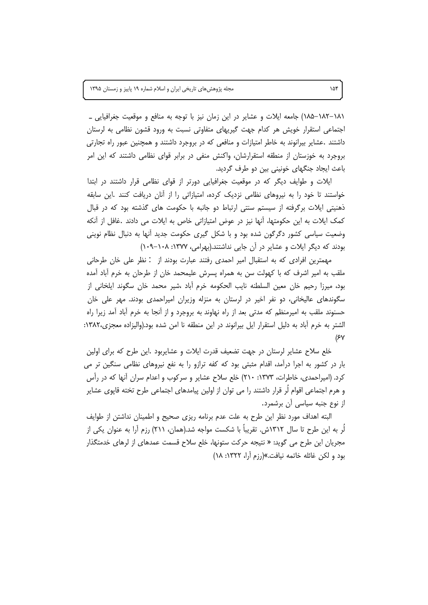٠١٨١–١٨٢) جامعه ايلات و عشاير در اين زمان نيز با توجه به منافع و موقعيت جغرافيايي \_ اجتماعی استقرار خویش هر کدام جهت گیریهای متفاوتی نسبت به ورود قشون نظامی به لرستان داشتند .عشایر بیرانوند به خاطر امتیازات و منافعی که در بروجرد داشتند و همچنین عبور راه تجارتی بروجرد به خوزستان از منطقه استقرارشان، واكنش منفى در برابر قواى نظامى داشتند كه اين امر باعث ایجاد جنگهای خونینی بین دو طرف گردید.

ایلات و طوایف دیگر که در موقعیت جغرافیایی دورتر از قوای نظامی قرار داشتند در ابتدا خواستند تا خود را به نیروهای نظامی نزدیک کرده، امتیازاتی را از آنان دریافت کنند .این سابقه ذهنیتی ایلات برگرفته از سیستم سنتی ارتباط دو جانبه با حکومت های گذشته بود که در قبال كمك ايلات به اين حكومتها، آنها نيز در عوض امتيازاتي خاص به ايلات مي دادند .غافل از آنكه وضعیت سیاسی کشور دگرگون شده بود و با شکل گیری حکومت جدید آنها به دنبال نظام نوینی بودند که دیگر ایلات و عشایر در آن جایی نداشتند.(بهرامی، ۱۳۷۷: ۰۸–۱۰۹)

مهمترین افرادی که به استقبال امیر احمدی رفتند عبارت بودند از : نظر علی خان طرحانی ملقب به امیر اشرف که با کهولت سن به همراه پسرش علیمحمد خان از طرحان به خرم آباد آمده بود، میرزا رحیم خان معین السلطنه نایب الحکومه خرم آباد ،شیر محمد خان سگوند ایلخانی از سگوندهای عالیخانی، دو نفر اخیر در لرستان به منزله وزیران امیراحمدی بودند. مهر علی خان حسنوند ملقب به امیرمنظم که مدتی بعد از راه نهاوند به بروجرد و از آنجا به خرم آباد آمد زیرا راه الشتر به خرم آباد به دلیل استقرار ایل بیرانوند در این منطقه نا امن شده بود.(والیزاده معجزی،۱۳۸۲:  $(5<sup>y</sup>)$ 

خلع سلاح عشایر لرستان در جهت تضعیف قدرت ایلات و عشایربود .این طرح که برای اولین بار در کشور به اجرا درآمد، اقدام مثبتی بود که کفه ترازو را به نفع نیروهای نظامی سنگین تر می کرد. (امیراحمدی، خاطرات، ۱۳۷۳: ۲۱۰) خلع سلاح عشایر و سرکوب و اعدام سران أنها که در رأس و هرم اجتماعی اقوام لُر قرار داشتند را می توان از اولین پیامدهای اجتماعی طرح تخته قاپوی عشایر از نوع جنبه سیاسی آن برشمرد.

البته اهداف مورد نظر این طرح به علت عدم برنامه ریزی صحیح و اطمینان نداشتن از طوایف لَر به این طرح تا سال ۱۳۱۲ش. تقریباً با شکست مواجه شد.(همان، ۲۱۱) رزم آرا به عنوان یکی از مجریان این طرح می گوید: « نتیجه حرکت ستونها، خلع سلاح قسمت عمدهای از لرهای خدمتگذار بود و لكن غائله خاتمه نيافت.»(رزم آرا، ١٣٢٢: ١٨)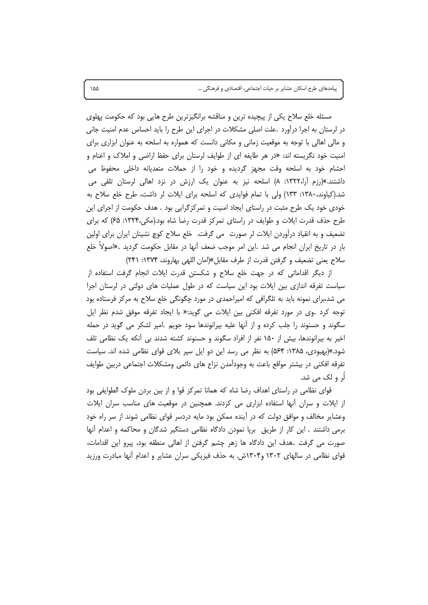مسئله خلع سلاح یکی از پیچیده ترین و مناقشه برانگیزترین طرح هایی بود که حکومت پهلوی در لرستان به اجرا درآورد .علت اصلی مشکلات در اجرای این طرح را باید احساس عدم امنیت جانی و مالی اهالی با توجه به موقعیت زمانی و مکانی دانست که همواره به اسلحه به عنوان ابزاری برای امنیت خود نگریسته اند: «در هر طایفه ای از طوایف لرستان برای حفظ اراضی و املاک و اغنام و احشام خود به اسلحه وقت مجهز گردیده و خود را از حملات متعدیانه داخلی محفوظ می داشتند.»(رزم آرا،۱۳۲۲: ۸) اسلحه نیز به عنوان یک ارزش در نزد اهالی لرستان تلقی می شد.(کیاوند، ۱۳۸۰: ۱۳۳) ولی با تمام فوایدی که اسلحه برای ایلات لر داشت، طرح خلع سلاح به خودی خود یک طرح مثبت در راستای ایجاد امنیت و تمرکزگرایی بود . هدف حکومت از اجرای این طرح حذف قدرت ایلات و طوایف در راستای تمرکز قدرت رضا شاه بود.(مکی،۱۳۲۴: ۶۵) که برای تضعیف و به انقیاد درآوردن ایلات لر صورت می گرفت. خلع سلاح کوچ نشینان ایران برای اولین بار در تاریخ ایران انجام می شد .این امر موجب ضعف اًنها در مقابل حکومت گردید .«اصولاً خلع سلاح يعني تضعيف و گرفتن قدرت از طرف مقابل»(امان اللهي بهاروند، ۱۳۷۴: ۲۴۱)

از دیگر اقداماتی که در جهت خلع سلاح و شکستن قدرت ایلات انجام گرفت استفاده از سیاست تفرقه اندازی بین ایلات بود این سیاست که در طول عملیات های دولتی در لرستان اجرا می شد،برای نمونه باید به تلگرافی که امیراحمدی در مورد چگونگی خلع سلاح به مرکز فرستاده بود توجه كرد .وي در مورد تفرقه افكني بين ايلات مي گويد:« با ايجاد تفرقه موفق شدم نظر ايل سگوند و حسنوند را جلب کرده و از آنها علیه بیرانوندها سود جویم .امیر لشکر می گوید در حمله اخیر به بیرانوندها، بیش از ۱۵۰ نفر از افراد سگوند و حسنوند کشته شدند بی آنکه یک نظامی تلف شود.»(بهبودی، ۱۳۸۵: ۵۶۴) به نظر می رسد این دو ایل سپر بلای قوای نظامی شده اند. سیاست تفرقه افکنی در بیشتر مواقع باعث به وجودآمدن نزاع های دائمی ومشکلات اجتماعی دربین طوایف لَٰر و لک می شد.

قوای نظامی در راستای اهداف رضا شاه که همانا تمرکز قوا و از بین بردن ملوک الطوایفی بود از ایلات و سران آنها استفاده ابزاری می کردند. همچنین در موقعیت های مناسب سران ایلات وعشایر مخالف و موافق دولت که در آینده ممکن بود مایه دردسر قوای نظامی شوند از سر راه خود برمی داشتند . این کار از طریق برپا نمودن دادگاه نظامی دستگیر شدگان و محاکمه و اعدام أنها صورت می گرفت .هدف این دادگاه ها زهر چشم گرفتن از اهالی منطقه بود، پیرو این اقدامات، قوای نظامی در سالهای ۱۳۰۲ و۱۳۰۴ش. به حذف فیزیکی سران عشایر و اعدام أنها مبادرت ورزید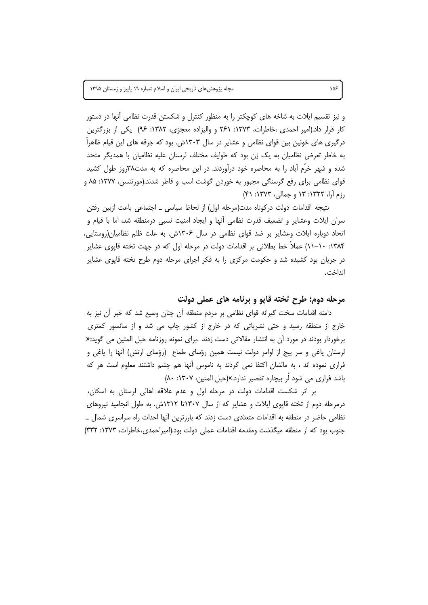و نیز تقسیم ایلات به شاخه های کوچکتر را به منظور کنترل و شکستن قدرت نظامی آنها در دستور کار قرار داد.(امیر احمدی ،خاطرات، ۱۳۷۳: ۲۶۱ و والیزاده معجزی، ۱۳۸۲: ۹۶) یکی از بزرگترین درگیری های خونین بین قوای نظامی و عشایر در سال ۱۳۰۳ش. بود که جرقه های این قیام ظاهرا به خاطر تعرض نظامیان به یک زن بود که طوایف مختلف لرستان علیه نظامیان با همدیگر متحد شده و شهر خرّم آباد را به محاصره خود درآوردند. در این محاصره که به مدت۳۸روز طول کشید قوای نظامی برای رفع گرسنگی مجبور به خوردن گوشت اسب و قاطر شدند.(مورتنسن، ۱۳۷۷: ۸۵ و رزم آرا، ۱۳۲۲: ۱۳ و جمالی، ۱۳۷۳: ۴۱)

نتیجه اقدامات دولت درکوتاه مدت(مرحله اول) از لحاظ سیاسی ــ اجتماعی باعث ازبین رفتن سران ایلات وعشایر و تضعیف قدرت نظامی آنها و ایجاد امنیت نسبی درمنطقه شد، اما با قیام و اتحاد دوباره ایلات وعشایر بر ضد قوای نظامی در سال ۱۳۰۶ش. به علت ظلم نظامیان(روستایی، ۱۳۸۴: ۱۰–۱۱) عملاً خط بطلانی بر اقدامات دولت در مرحله اول که در جهت تخته قاپوی عشایر در جریان بود کشیده شد و حکومت مرکزی را به فکر اجرای مرحله دوم طرح تخته قاپوی عشایر انداخت.

#### مرحله دوم؛ طرح تخته قایو و برنامه های عملی دولت

دامنه اقدامات سخت گیرانه قوای نظامی بر مردم منطقه آن چنان وسیع شد که خبر آن نیز به خارج از منطقه رسید و حتی نشریاتی که در خارج از کشور چاپ می شد و از سانسور کمتری برخوردار بودند در مورد آن به انتشار مقالاتی دست زدند .برای نمونه روزنامه حبل المتین می گوید:« لرستان یاغی و سر پیچ از اوامر دولت نیست همین رؤسای طماع (رؤسای ارتش) انها را یاغی و فراری نموده اند ، به مالشان اکتفا نمی کردند به ناموس آنها هم چشم داشتند معلوم است هر که باشد فراری می شود لَر بیچاره تقصیر ندارد.»(حبل المتین، ۱۳۰۷: ۸۰)

بر اثر شکست اقدامات دولت در مرحله اول و عدم علاقه اهالی لرستان به اسکان، درمرحله دوم از تخته قاپوی ایلات و عشایر که از سال ۱۳۰۷تا ۱۳۱۲ش. به طول انجامید نیروهای نظامی حاضر در منطقه به اقدامات متعدّدی دست زدند که بارزترین آنها احداث راه سراسری شمال ــ جنوب بود که از منطقه میگذشت ومقدمه اقدامات عملی دولت بود.(امیراحمدی،خاطرات، ۱۳۷۳: ۳۳۲)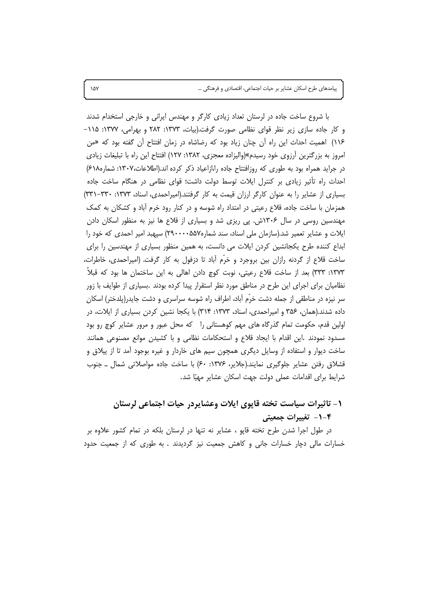با شروع ساخت جاده در لرستان تعداد زیادی کارگر و مهندس ایرانی و خارجی استخدام شدند و کار جاده سازی زیر نظر قوای نظامی صورت گرفت.(بیات، ۱۳۷۳: ۲۸۲ و بهرامی، ۱۳۷۷: ۱۱۵-۱۱۶) اهمیت احداث این راه آن چنان زیاد بود که رضاشاه در زمان افتتاح آن گفته بود که «من امروز به بزرگترین آرزوی خود رسیدم»(والیزاده معجزی، ۱۳۸۲: ۱۲۷) افتتاح این راه با تبلیغات زیادی در جراید همراه بود به طوری که روزافتتاح جاده را،ازاعیاد ذکر کرده اند.(اطلاعات،۱۳۰۷: شماره۱۸۸) احداث راه تأثیر زیادی بر کنترل ایلات توسط دولت داشت؛ قوای نظامی در هنگام ساخت جاده بسیاری از عشایر را به عنوان کارگر ارزان قیمت به کار گرفتند.(امپراحمدی، اسناد، ۱۳۷۳: ۳۳۰-۳۳۱) همزمان با ساخت جاده، قلاع رعیتی در امتداد راه شوسه و در کنار رود خرم آباد و کشکان به کمک مهندسین روسی در سال ۱۳۰۶ش. پی ریزی شد و بسیاری از قلاع ها نیز به منظور اسکان دادن ایلات و عشایر تعمیر شد.(سازمان ملی اسناد، سند شماره۵۵۷-۲۹۰۰۰) سپهبد امیر احمدی که خود را ابداع کننده طرح یکجانشین کردن ایلات می دانست، به همین منظور بسیاری از مهندسین را برای ساخت قلاع از گردنه رازان بین بروجرد و خرم أباد تا دزفول به کار گرفت. (امیراحمدی، خاطرات، ١٣٧٣: ٣٣٣) بعد از ساخت قلاع رعيتي، نوبت كوچ دادن اهالي به اين ساختمان ها بود كه قبلاً نظامیان برای اجرای این طرح در مناطق مورد نظر استقرار پیدا کرده بودند .بسیاری از طوایف با زور سر نیزه در مناطقی از جمله دشت خرّم آباد، اطراف راه شوسه سراسری و دشت جایدر(پلدختر) اسکان داده شدند.(همان، ۳۵۶ و امیراحمدی، اسناد، ۱۳۷۳: ۳۱۴) با یکجا نشین کردن بسیاری از ایلات، در اولین قدم، حکومت تمام گذرگاه های مهم کوهستانی را که محل عبور و مرور عشایر کوچ رو بود مسدود نمودند .این اقدام با ایجاد قلاع و استحکامات نظامی و با کشیدن موانع مصنوعی همانند ساخت دیوار و استفاده از وسایل دیگری همچون سیم های خاردار و غیره بوجود امد تا از پیلاق و قشلاق رفتن عشایر جلوگیری نمایند.(جلایر، ۱۳۷۶: ۶۰) با ساخت جاده مواصلاتی شمال ـ جنوب شرايط براي اقدامات عملي دولت جهت اسكان عشاير مهيّا شد.

# ١- تاثيرات سياست تخته قايوي ايلات وعشايردر حيات اجتماعي لرستان **۴-۱- تغییرات جمعیتی**

در طول اجرا شدن طرح تخته قاپو ، عشایر نه تنها در لرستان بلکه در تمام کشور علاوه بر خسارات مالی دچار خسارات جانی و کاهش جمعیت نیز گردیدند . به طوری که از جمعیت حدود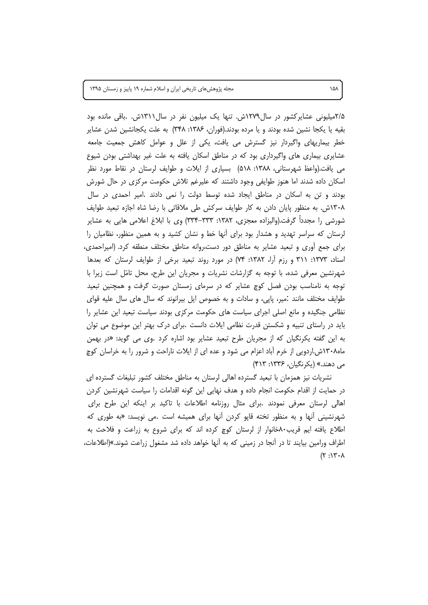مجله پژوهشهای تاریخی ایران و اسلام شماره ١٩ پاییز و زمستان ١٣٩۵

۲/۵میلیونی عشایرکشور در سال۱۲۷۹ش. تنها یک میلیون نفر در سال۱۳۱۱ش. .باقی مانده بود بقيه يا يكجا نشين شده بودند و يا مرده بودند.(فوران، ۱۳۸۶: ۳۴۸) به علت يكجانشين شدن عشاير خطر بیماریهای واگیردار نیز گسترش می یافت، یکی از علل و عوامل کاهش جمعیت جامعه عشایری بیماری های واگیرداری بود که در مناطق اسکان یافته به علت غیر بهداشتی بودن شیوع می یافت.(واعظ شهرستانی، ۱۳۸۸: ۵۱۸) بسیاری از ایلات و طوایف لرستان در نقاط مورد نظر اسکان داده شدند اما هنوز طوایفی وجود داشتند که علیرغم تلاش حکومت مرکزی در حال شورش بودند و تن به اسکان در مناطق ایجاد شده توسط دولت را نمی دادند .امیر احمدی در سال ۱۳۰۸ش. به منظور پایان دادن به کار طوایف سرکش طی ملاقاتی با رضا شاه اجازه تبعید طوایف شورشی را مجدداً گرفت.(والیزاده معجزی، ۱۳۸۲: ۳۳۳–۳۳۴) وی با ابلاغ اعلامی هایی به عشایر لرستان که سراسر تهدید و هشدار بود برای آنها خط و نشان کشید و به همین منظور، نظامیان را برای جمع آوری و تبعید عشایر به مناطق دور دست،روانه مناطق مختلف منطقه کرد. (امیراحمدی، اسناد، ۱۳۷۳: ۳۱۱ و رزم اّرا، ۱۳۸۲: ۷۴) در مورد روند تبعید برخی از طوایف لرستان که بعدها شهرنشین معرفی شده، با توجه به گزارشات نشریات و مجریان این طرح، محل تامّل است زیرا با توجه به نامناسب بودن فصل کوچ عشایر که در سرمای زمستان صورت گرفت و همچنین تبعید طوایف مختلف مانند :میر، پاپی، و سادات و به خصوص ایل بیرانوند که سال های سال علیه قوای نظامی جنگیده و مانع اصلی اجرای سیاست های حکومت مرکزی بودند سیاست تبعید این عشایر را باید در راستای تنبیه و شکستن قدرت نظامی ایلات دانست .برای درک بهتر این موضوع می توان به این گفته یکرنگیان که از مجریان طرح تبعید عشایر بود اشاره کرد .وی می گوید: «در بهمن ماه۱۳۰۸ش.اردویی از خرم آباد اعزام می شود و عده ای از ایلات ناراحت و شرور را به خراسان کوچ مي دهند.» (يکرنگيان، ۱۳۳۶: ۴۱۳)

نشریات نیز همزمان با تبعید گسترده اهالی لرستان به مناطق مختلف کشور تبلیغات گسترده ای در حمایت از اقدام حکومت انجام داده و هدف نهایی این گونه اقدامات را سیاست شهرنشین کردن اهالی لرستان معرفی نمودند .برای مثال روزنامه اطلاعات با تاکید بر اینکه این طرح برای شهرنشینی اَنها و به منظور تخته قایو کردن اَنها برای همیشه است .می نویسد: «به طوری که اطلاع یافته ایم قریب۸۰خانوار از لرستان کوچ کرده اند که برای شروع به زراعت و فلاحت به اطراف ورامین بیایند تا در آنجا در زمینی که به آنها خواهد داده شد مشغول زراعت شوند.»(اطلاعات،  $(\gamma : \gamma^* \cdot \lambda)$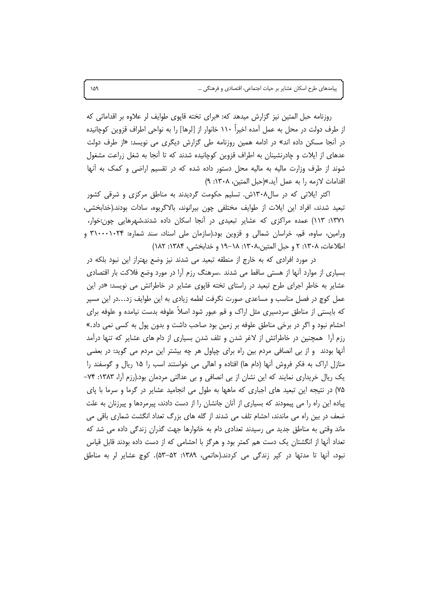روزنامه حبل المتین نیز گزارش میدهد که: «برای تخته قایوی طوایف لر علاوه بر اقداماتی که از طرف دولت در محل به عمل آمده اخیراً ۱۱۰ خانوار از [لرها] را به نواحی اطراف قزوین کوچانیده در آنجا مسکن داده اند» در ادامه همین روزنامه طی گزارش دیگری می نویسد: «از طرف دولت عدهای از ایلات و چادرنشینان به اطراف قزوین کوچانیده شدند که تا آنجا به شغل زراعت مشغول شوند از طرف وزارت مالیه به مالیه محل دستور داده شده که در تقسیم اراضی و کمک به آنها اقدامات لازمه را به عمل آيد.»(حبل المتين، ١٣٠٨: ٩)

اکثر ایلاتی که در سال۱۳۰۸ش. تسلیم حکومت گردیدند به مناطق مرکزی و شرقی کشور تبعيد شدند، افراد اين ايلات از طوايف مختلفي چون بيرانوند، بالاگريوه، سادات بودند.(خدابخشي، ۱۳۷۱: ۱۱۳) عمده مراکزی که عشایر تبعیدی در آنجا اسکان داده شدند،شهرهایی چون:خوار، ورامین، ساوه، قم، خراسان شمالی و قزوین بود.(سازمان ملی اسناد، سند شماره: ۳۱۰۰۰۱۰۲۴ و اطلاعات، ١٣٠٨: ٢ و حبل المتين،١٣٠٨: ١٨٨–١٩ و خدابخشي، ١٣٨۴: ١٨٢)

در مورد افرادی که به خارج از منطقه تبعید می شدند نیز وضع بهتراز این نبود بلکه در بسیاری از موارد آنها از هستی ساقط می شدند .سرهنگ رزم آرا در مورد وضع فلاکت بار اقتصادی عشایر به خاطر اجرای طرح تبعید در راستای تخته قاپوی عشایر در خاطراتش می نویسد: «در این عمل کوچ در فصل مناسب و مساعدی صورت نگرفت لطمه زیادی به این طوایف زد…در این مسیر که بایستی از مناطق سردسیری مثل اراک و قم عبور شود اصلاً علوفه بدست نیامده و علوفه برای احشام نبود و اگر در برخی مناطق علوفه بر زمین بود صاحب داشت و بدون پول به کسی نمی داد.» رزم آرا ً همچنین در خاطراتش از لاغر شدن و تلف شدن بسیاری از دام های عشایر که تنها درآمد آنها بودند ً و از بی انصافی مردم بین راه برای چپاول هر چه بیشتر این مردم می گوید: در بعضی منازل اراک به فکر فروش آنها (دام ها) افتاده و اهالی می خواستند اسب را ۱۵ ریال و گوسفند را یک ریال خریداری نمایند که این نشان از بی انصافی و بی عدالتی مردمان بود.(رزم آرا، ۱۳۸۳: ۷۴– ۷۵) در نتیجه این تبعید های اجباری که ماهها به طول می انجامید عشایر در گرما و سرما با پای پیاده این راه را می پیمودند که بسیاری از آنان جانشان را از دست دادند، پیرمردها و پیرزنان به علت ضعف در بین راه می ماندند، احشام تلف می شدند از گله های بزرگ تعداد انگشت شماری باقی می ماند وقتی به مناطق جدید می رسیدند تعدادی دام به خانوارها جهت گذران زندگی داده می شد که تعداد أنها از انگشتان یک دست هم کمتر بود و هرگز با احشامی که از دست داده بودند قابل قیاس نبود، آنها تا مدتها در کپر زندگی می کردند.(حاتمی، ۱۳۸۹: ۵۳–۵۳). کوچ عشایر لر به مناطق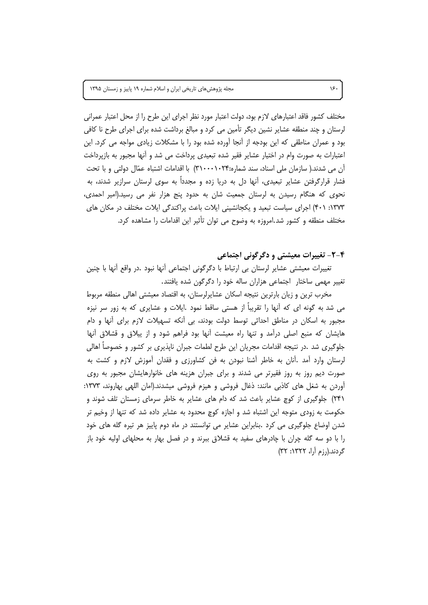مختلف كشور فاقد اعتبارهاي لازم بود، دولت اعتبار مورد نظر اجراي اين طرح را از محل اعتبار عمراني لرستان و چند منطقه عشایر نشین دیگر تأمین می کرد و مبالغ برداشت شده برای اجرای طرح نا کافی بود و عمران مناطقی که این بودجه از آنجا آورده شده بود را با مشکلات زیادی مواجه می کرد. این اعتبارات به صورت وام در اختیار عشایر فقیر شده تبعیدی پرداخت می شد و آنها مجبور به بازپرداخت آن می شدند.( سازمان ملی اسناد، سند شماره:۳۱۰۰۰۱۰۲۴) با اقدامات اشتباه عمّال دولتی و با تحت فشار قرارگرفتن عشایر تبعیدی، آنها دل به دریا زده و مجدداً به سوی لرستان سرازیر شدند، به نحوی که هنگام رسیدن به لرستان جمعیت شان به حدود پنج هزار نفر می رسید.(امیر احمدی، ١٣٧٣: ۴٠١) اجراى سياست تبعيد و يكجانشيني ايلات باعث پراكندگى ايلات مختلف در مكان هاى مختلف منطقه و کشور شد.امروزه به وضوح می توان تأثیر این اقدامات را مشاهده کرد.

#### ۴-۲- تغییرات معیشتی و دگرگونی اجتماعی

تغییرات معیشتی عشایر لرستان بی ارتباط با دگرگونی اجتماعی أنها نبود .در واقع أنها با چنین تغییر مهمی ساختار اجتماعی هزاران ساله خود را دگرگون شده یافتند.

مخرب ترین و زیان بارترین نتیجه اسکان عشاپرلرستان، به اقتصاد معیشتی اهالی منطقه مربوط می شد به گونه ای که آنها را تقریباً از هستی ساقط نمود .ایلات و عشایری که به زور سر نیزه مجبور به اسکان در مناطق احداثی توسط دولت بودند، بی أنکه تسهیلات لازم برای أنها و دام هایشان که منبع اصلی درآمد و تنها راه معیشت آنها بود فراهم شود و از پیلاق و قشلاق آنها جلوگیری شد .در نتیجه اقدامات مجریان این طرح لطمات جبران ناپذیری بر کشور و خصوصاً اهالی لرستان وارد آمد .آنان به خاطر آشنا نبودن به فن کشاورزی و فقدان آموزش لازم و کشت به صورت دیم روز به روز فقیرتر می شدند و برای جبران هزینه های خانوارهایشان مجبور به روی آوردن به شغل های کاذبی مانند: ذغال فروشی و هیزم فروشی میشدند.(امان اللهی بهاروند، ۱۳۷۳: ۲۴۱) جلوگیری از کوچ عشایر باعث شد که دام های عشایر به خاطر سرمای زمستان تلف شوند و حکومت به زودی متوجه این اشتباه شد و اجازه کوچ محدود به عشایر داده شد که تنها از وخیم تر شدن اوضاع جلوگیری می کرد .بنابراین عشایر می توانستند در ماه دوم پاییز هر تیره گله های خود را با دو سه گله چران با چادرهای سفید به قشلاق ببرند و در فصل بهار به محلهای اولیه خود باز گردند.(رزم آرا، ۱۳۲۲: ۳۲)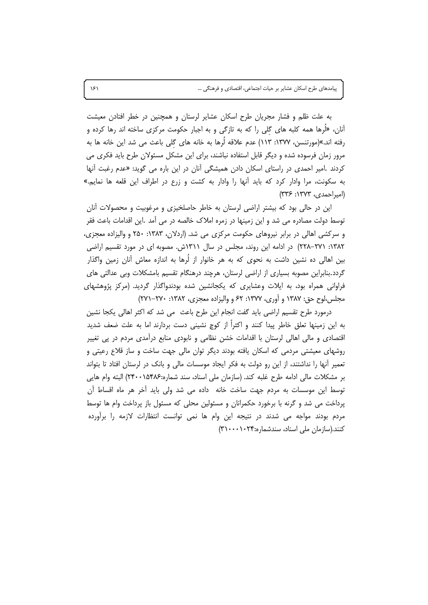به علت ظلم و فشار مجریان طرح اسکان عشایر لرستان و همچنین در خطر افتادن معیشت آنان، «لُرها همه کلبه های گلی را که به تازگی و به اجبار حکومت مرکزی ساخته اند رها کرده و رفته اند.»(مورتنسن، ۱۳۷۷: ۱۱۳) عدم علاقه لُرها به خانه های گلی باعث می شد این خانه ها به مرور زمان فرسوده شده و دیگر قابل استفاده نباشند، برای این مشکل مسئولان طرح باید فکری می کردند .امیر احمدی در راستای اسکان دادن همیشگی آنان در این باره می گوید: «عدم رغبت آنها به سکونت، مرا وادار کرد که باید آنها را وادار به کشت و زرع در اطراف این قلعه ها نمایم.» (امیراحمدی، ۱۳۷۳: ۳۳۶)

این در حالی بود که بیشتر اراضی لرستان به خاطر حاصلخیزی و مرغوبیت و محصولات آنان توسط دولت مصادره می شد و این زمینها در زمره املاک خالصه در می آمد .این اقدامات باعث فقر و سرکشی اهالی در برابر نیروهای حکومت مرکزی می شد. (اردلان، ۱۳۸۳: ۲۵۰ و والیزاده معجزی، ۱۳۸۲: ۲۷۱–۲۲۸) در ادامه این روند، مجلس در سال ۱۳۱۱ش. مصوبه ای در مورد تقسیم اراضی بین اهالی ده نشین داشت به نحوی که به هر خانوار از لُرها به اندازه معاش آنان زمین واگذار گردد.بنابراین مصوبه بسیاری از اراضی لرستان، هرچند درهنگام تقسیم بامشکلات وبی عدالتی های فراوانی همراه بود، به ایلات وعشایری که یکجانشین شده بودندواگذار گردید. (مرکز پژوهشهای مجلس،لوح حق: ۱۳۸۷ و آوری، ۱۳۷۷: ۶۲ و والیزاده معجزی، ۱۳۸۲: ۲۷۰–۲۷۱)

درمورد طرح تقسیم اراضی باید گفت انجام این طرح باعث ً می شد که اکثر اهالی یکجا نشین به این زمینها تعلق خاطر پیدا کنند و اکثراً از کوچ نشینی دست بردارند اما به علت ضعف شدید اقتصادی و مالی اهالی لرستان با اقدامات خشن نظامی و نابودی منابع درآمدی مردم در پی تغییر روشهای معیشتی مردمی که اسکان یافته بودند دیگر توان مالی جهت ساخت و ساز قلاع رعیتی و تعمیر أنها را نداشتند، از این رو دولت به فکر ایجاد موسسات مالی و بانک در لرستان افتاد تا بتواند بر مشكلات مالي ادامه طرح غلبه كند. (سازمان ملي اسناد، سند شماره:۱۵۴۸۶-۲۴۰) البته وام هايي توسط این موسسات به مردم جهت ساخت خانه داده می شد ولی باید آخر هر ماه اقساط آن پرداخت می شد و گرنه با برخورد حکمرانان و مسئولین محلی که مسئول باز پرداخت وام ها توسط مردم بودند مواجه می شدند در نتیجه این وام ها نمی توانست انتظارات لازمه را برآورده کنند.(سازمان ملی اسناد، سندشماره:۳۱۰۰۰۱۰۲۴)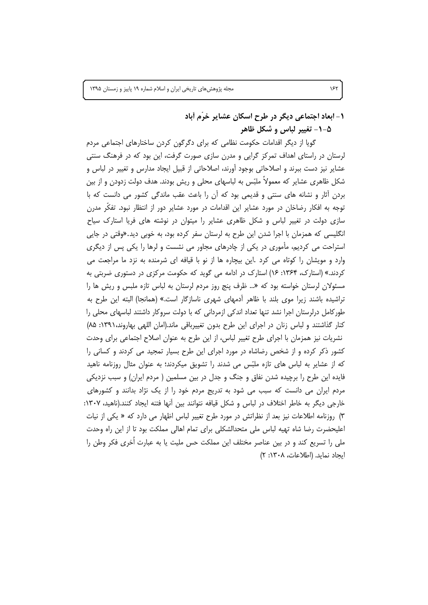۱- ابعاد اجتماعی دیگر در طرح اسکان عشایر خرّم أباد

۵–۱– تغییر لباس و شکل ظاهر

گویا از دیگر اقدامات حکومت نظامی که برای دگرگون کردن ساختارهای اجتماعی مردم لرستان در راستای اهداف تمرکز گرایی و مدرن سازی صورت گرفت، این بود که در فرهنگ سنتی عشایر نیز دست ببرند و اصلاحاتی بوجود آورند، اصلاحاتی از قبیل ایجاد مدارس و تغییر در لباس و شکل ظاهری عشایر که معمولاً ملبّس به لباسهای محلی و ریش بودند. هدف دولت زدودن و از بین بردن آثار و نشانه های سنتی و قدیمی بود که آن را باعث عقب ماندگی کشور می دانست که با توجه به افکار رضاخان در مورد عشایر این اقدامات در مورد عشایر دور از انتظار نبود. تفکّر مدرن سازی دولت در تغییر لباس و شکل ظاهری عشایر را میتوان در نوشته های فریا استارک سیاح انگلیسی که همزمان با اجرا شدن این طرح به لرستان سفر کرده بود، به خوبی دید.«وقتی در جایی استراحت می کردیم، مأموری در یکی از چادرهای مجاور می نشست و لرها را یکی پس از دیگری وارد و مویشان را کوتاه می کرد .این بیچاره ها از نو با قیافه ای شرمنده به نزد ما مراجعت می کردند.» (استارک، ۱۳۶۴: ۱۶) استارک در ادامه می گوید که حکومت مرکزی در دستوری ضربتی به مسئولان لرستان خواسته بود که «… ظرف پنج روز مردم لرستان به لباس تازه ملبس و ریش ها را تراشیده باشند زیرا موی بلند با ظاهر آدمهای شهری ناسازگار است.» (همانجا) البته این طرح به طورکامل درلرستان اجرا نشد تنها تعداد اندکی ازمردانی که با دولت سروکار داشتند لباسهای محلی را کنار گذاشتند و لباس زنان در اجرای این طرح بدون تغییرباقی ماند.(امان اللهی بهاروند،۱۳۹۱: ۸۵) نشریات نیز همزمان با اجرای طرح تغییر لباس، از این طرح به عنوان اصلاح اجتماعی برای وحدت کشور ذکر کرده و از شخص رضاشاه در مورد اجرای این طرح بسیار تمجید می کردند و کسانی را که از عشایر به لباس های تازه ملبّس می شدند را تشویق میکردند؛ به عنوان مثال روزنامه ناهید فایده این طرح را برچیده شدن نفاق و جنگ و جدل در بین مسلمین ( مردم ایران) و سبب نزدیکی مردم ایران می دانست که سبب می شود به تدریج مردم خود را از یک نژاد بدانند و کشورهای خارجی دیگر به خاطر اختلاف در لباس و شکل قیافه نتوانند بین آنها فتنه ایجاد کنند.(ناهید، ۱۳۰۷: ۳) روزنامه اطلاعات نیز بعد از نظراتش در مورد طرح تغییر لباس اظهار می دارد که « یکی از نیات اعلیحضرت رضا شاه تهیه لباس ملی متحدالشکلی برای تمام اهالی مملکت بود تا از این راه وحدت ملی را تسریع کند و در بین عناصر مختلف این مملکت حس ملیت یا به عبارت اُخری فکر وطن را ايجاد نمايد. (اطلاعات، ١٣٠٨: ٢)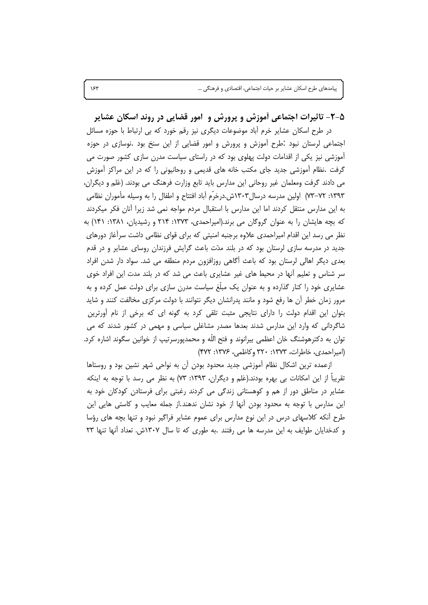۵-۲- تاثیرات اجتماعی أموزش و پرورش و امور قضایی در روند اسکان عشایر در طرح اسکان عشایر خرم آباد موضوعات دیگری نیز رقم خورد که بی ارتباط با حوزه مسائل اجتماعی لرستان نبود .طرح اموزش و پرورش و امور قضایی از این سنخ بود .نوسازی در حوزه آموزشی نیز یکی از اقدامات دولت پهلوی بود که در راستای سیاست مدرن سازی کشور صورت می گرفت .نظام اًموزشی جدید جای مکتب خانه های قدیمی و روحانیونی را که در این مراکز اَموزش می دادند گرفت ومعلمان غیر روحانی این مدارس باید تابع وزارت فرهنگ می بودند. (عَلم و دیگران، ١٣٩٣: ٧٢–٧٣) اولين مدرسه درسال١٣٠٣ش.درخرّم أباد افتتاح و اطفال را به وسيله مأموران نظامي به این مدارس منتقل کردند اما این مدارس با استقبال مردم مواجه نمی شد زیرا آنان فکر میکردند که بچه هایشان را به عنوان گروگان می برند.(امیراحمدی، ۱۳۷۳: ۲۱۴ و رشیدیان، ۱۳۸۱: ۱۴۱) به نظر می رسد این اقدام امیراحمدی علاوه برجنبه امنیتی که برای قوای نظامی داشت سرآغاز دورهای جدید در مدرسه سازی لرستان بود که در بلند مدّت باعث گرایش فرزندان روسای عشایر و در قدم بعدی دیگر اهالی لرستان بود که باعث أگاهی روزافزون مردم منطقه می شد. سواد دار شدن افراد سر شناس و تعلیم اّنها در محیط های غیر عشایری باعث می شد که در بلند مدت این افراد خوی عشایری خود را کنار گذارده و به عنوان یک مبلّغ سیاست مدرن سازی برای دولت عمل کرده و به مرور زمان خطر آن ها رفع شود و مانند پدرانشان دیگر نتوانند با دولت مرکزی مخالفت کنند و شاید بتوان این اقدام دولت را دارای نتایجی مثبت تلقی کرد به گونه ای که برخی از نام آورترین شاگردانی که وارد این مدارس شدند بعدها مصدر مشاغلی سیاسی و مهمی در کشور شدند که می توان به دکترهوشنگ خان اعظمی بیرانوند و فتح الله و محمدپورسرتیپ از خوانین سگوند اشاره کرد. (امیراحمدی، خاطرات، ۱۳۷۳: ۳۲۰ وکاظمی، ۱۳۷۶: ۴۷۲)

ازعمده ترین اشکال نظام أموزشی جدید محدود بودن آن به نواحی شهر نشین بود و روستاها تقریباً از این امکانات بی بهره بودند.(عَلم و دیگران، ۱۳۹۳: ۷۳) به نظر می رسد با توجه به اینکه عشایر در مناطق دور از هم و کوهستانی زندگی می کردند رغبتی برای فرستادن کودکان خود به این مدارس با توجه به محدود بودن آنها از خود نشان ندهند.از جمله معایب و کاستی هایی این طرح أنکه کلاسهای درس در این نوع مدارس برای عموم عشایر فراگیر نبود و تنها بچه های رؤسا و کدخدایان طوایف به این مدرسه ها می رفتند .به طوری که تا سال ۱۳۰۷ش. تعداد آنها تنها ۲۳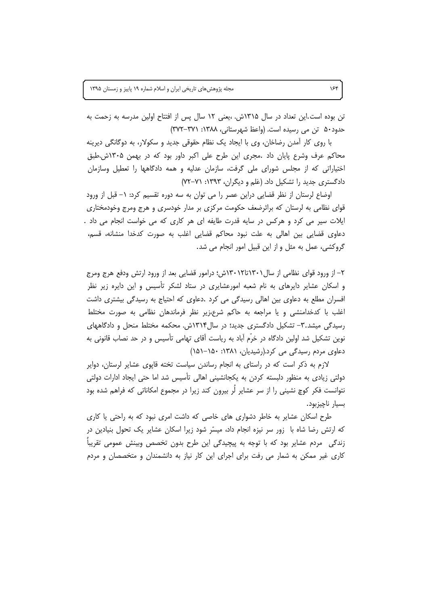تن بوده است.این تعداد در سال ۱۳۱۵ش. ،یعنی ۱۲ سال پس از افتتاح اولین مدرسه به زحمت به حدود۵۰ تن می رسیده است. (واعظ شهرستانی، ۱۳۸۸: ۳۷۱-۳۷۲)

با روی کار آمدن رضاخان، وی با ایجاد یک نظام حقوقی جدید و سکولار، به دوگانگی دیرینه محاکم عرف وشرع پایان داد .مجری این طرح علی اکبر داور بود که در بهمن ۱۳۰۵ش.طبق اختیاراتی که از مجلس شورای ملی گرفت، سازمان عدلیه و همه دادگاهها را تعطیل وسازمان دادگستری جدید را تشکیل داد. (عَلم و دیگران، ۱۳۹۳: ۷۱–۷۲)

اوضاع لرستان از نظر قضایی دراین عصر را می توان به سه دوره تقسیم کرد: ۱– قبل از ورود قوای نظامی به لرستان که براثرضعف حکومت مرکزی بر مدار خودسری و هرج ومرج وخودمختاری ایلات سیر می کرد و هرکس در سایه قدرت طایفه ای هر کاری که می خواست انجام می داد . دعاوی قضایی بین اهالی به علت نبود محاکم قضایی اغلب به صورت کدخدا منشانه، قسم، گروکشی، عمل به مثل و از این قبیل امور انجام می شد.

۲– از ورود قوای نظامی از سال۱۳۰۱تا۱۳۰۲ش؛ درامور قضایی بعد از ورود ارتش ودفع هرج ومرج و اسکان عشایر دایرهای به نام شعبه امورعشایری در ستاد لشکر تأسیس و این دایره زیر نظر افسران مطلع به دعاوی بین اهالی رسیدگی می کرد .دعاوی که احتیاج به رسیدگی بیشتری داشت اغلب با کدخدامنشی و یا مراجعه به حاکم شرع،زیر نظر فرماندهان نظامی به صورت مختلط رسیدگی میشد.۳- تشکیل دادگستری جدید؛ در سال۱۳۱۴ش. محکمه مختلط منحل و دادگاههای نوین تشکیل شد اولین دادگاه در خرّم آباد به ریاست آقای تهامی تأسیس و در حد نصاب قانونی به دعاوی مردم رسیدگی می کرد.(رشیدیان، ۱۳۸۱: ۱۵۰–۱۵۱)

لازم به ذکر است که در راستای به انجام رساندن سیاست تخته قاپوی عشایر لرستان، دوایر دولتی زیادی به منظور دلبسته کردن به یکجانشینی اهالی تأسیس شد اما حتی ایجاد ادارات دولتی نتوانست فکر کوچ نشینی را از سر عشایر لُر بیرون کند زیرا در مجموع امکاناتی که فراهم شده بود بسيار ناچيزبود.

طرح اسکان عشایر به خاطر دشواری های خاصی که داشت امری نبود که به راحتی یا کاری که ارتش رضا شاه با زور سر نیزه انجام داد، میسّر شود زیرا اسکان عشایر یک تحول بنیادین در زندگی ً مردم عشایر بود که با توجه به پیچیدگی این طرح بدون تخصص وبینش عمومی تقریباً کاری غیر ممکن به شمار می رفت برای اجرای این کار نیاز به دانشمندان و متخصصان و مردم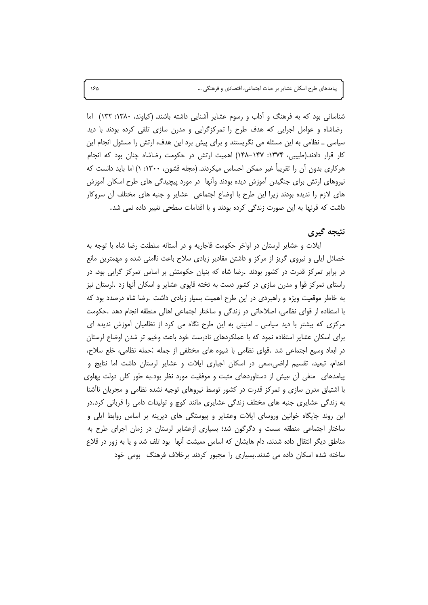شناسانی بود که به فرهنگ و آداب و رسوم عشایر آشنایی داشته باشند. (کیاوند، ۱۳۸۰: ۱۳۲) اما رضاشاه و عوامل اجرایی که هدف طرح را تمرکزگرایی و مدرن سازی تلقی کرده بودند با دید سیاسی ـ نظامی به این مسئله می نگریستند و برای پیش برد این هدف، ارتش را مسئول انجام این کار قرار دادند.(طبیبی، ۱۳۷۴: ۱۴۷–۱۴۸) اهمیت ارتش در حکومت رضاشاه چنان بود که انجام هرکاری بدون آن را تقریباً غیر ممکن احساس میکردند. (مجله قشون، ۱۳۰۰: ۱) اما باید دانست که نیروهای ارتش برای جنگیدن آموزش دیده بودند وآنها در مورد پیچیدگی های طرح اسکان آموزش های لازم را ندیده بودند زیرا این طرح با اوضاع اجتماعی عشایر و جنبه های مختلف آن سروکار داشت که قرنها به این صورت زندگی کرده بودند و با اقدامات سطحی تغییر داده نمی شد.

## نتيجه گيري

ایلات و عشایر لرستان در اواخر حکومت قاجاریه و در آستانه سلطنت رضا شاه با توجه به خصائل ایلی و نیروی گریز از مرکز و داشتن مقادیر زیادی سلاح باعث ناامنی شده و مهمترین مانع در برابر تمرکز قدرت در کشور بودند .رضا شاه که بنیان حکومتش بر اساس تمرکز گرایی بود، در راستای تمرکز قوا و مدرن سازی در کشور دست به تخته قاپوی عشایر و اسکان آنها زد .لرستان نیز به خاطر موقعیت ویژه و راهبردی در این طرح اهمیت بسیار زیادی داشت .رضا شاه درصدد بود که با استفاده از قوای نظامی، اصلاحاتی در زندگی و ساختار اجتماعی اهالی منطقه انجام دهد .حکومت مرکزی که بیشتر با دید سیاسی ـ امنیتی به این طرح نگاه می کرد از نظامیان آموزش ندیده ای برای اسکان عشایر استفاده نمود که با عملکردهای نادرست خود باعث وخیم تر شدن اوضاع لرستان در ابعاد وسيع اجتماعي شد .قواي نظامي با شيوه هاي مختلفي از جمله .حمله نظامي، خلع سلاح، اعدام، تبعید، تقسیم اراضی،سعی در اسکان اجباری ایلات و عشایر لرستان داشت اما نتایج و پیامدهای منفی آن ،بیش از دستاوردهای مثبت و موفقیت مورد نظر بود.به طور کلی دولت پهلوی با اشتیاق مدرن سازی و تمرکز قدرت در کشور توسط نیروهای توجیه نشده نظامی و مجریان ناآشنا به زندگی عشایری جنبه های مختلف زندگی عشایری مانند کوچ و تولیدات دامی را قربانی کرد.در این روند جایگاه خوانین وروسای ایلات وعشایر و پیوستگی های دیرینه بر اساس روابط ایلی و ساختار اجتماعی منطقه سست و دگرگون شد؛ بسیاری ازعشایر لرستان در زمان اجرای طرح به مناطق دیگر انتقال داده شدند، دام هایشان که اساس معیشت آنها بود تلف شد و یا به زور در قلاع ساخته شده اسکان داده می شدند.بسیاری را مجبور کردند برخلاف فرهنگ بومی خود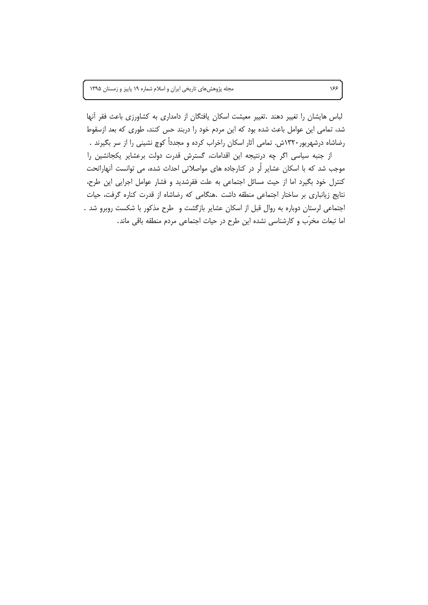مجله پژوهشهای تاریخی ایران و اسلام شماره ١٩ پاییز و زمستان ١٣٩۵

لباس هایشان را تغییر دهند .تغییر معیشت اسکان یافتگان از دامداری به کشاورزی باعث فقر آنها شد، تمامی این عوامل باعث شده بود که این مردم خود را دربند حس کنند، طوری که بعد ازسقوط رضاشاه درشهریور۱۳۲۰ش. تمامی آثار اسکان راخراب کرده و مجدداً کوچ نشینی را از سر بگیرند .

از جنبه سیاسی اگر چه درنتیجه این اقدامات، گسترش قدرت دولت برعشایر یکجانشین را موجب شد که با اسکان عشایر لُر در کنارجاده های مواصلاتی احداث شده، می توانست آنهاراتحت کنترل خود بگیرد اما از حیث مسائل اجتماعی به علت فقرشدید و فشار عوامل اجرایی این طرح، نتايج زيانباري بر ساختار اجتماعي منطقه داشت .هنگامي كه رضاشاه از قدرت كناره گرفت، حيات اجتماعی لرستان دوباره به روال قبل از اسکان عشایر بازگشت و طرح مذکور با شکست روبرو شد . اما تبعات مخرّب و كارشناسي نشده اين طرح در حيات اجتماعي مردم منطقه باقي ماند.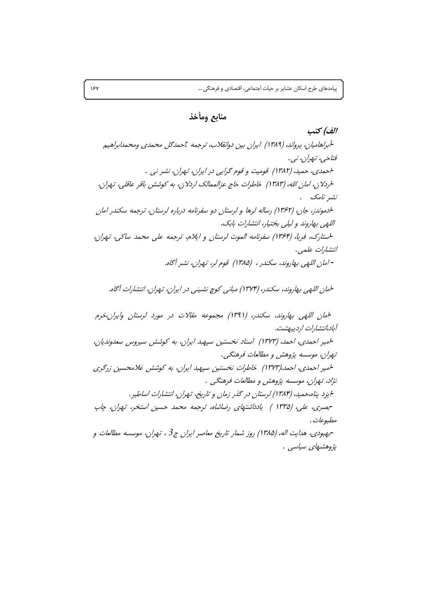الف) كتب

# منابع ومأخذ

-أبراهاميان، يرواند، (١٣٨٩) ايران بين دوانقلاب، ترجمه ،'حمدگل محمدي ومحمدابراهيم فتاحي، تيران، نبي. احمدی، حمید، (۱۳۸۲) قومیت و قوم گرایی در ایران، تهران، نشر نی . اردلان، امان الله، (١٣٨٣) خاطرات حاج عزالممالک اردلان، به کوشش باقر عاقلي، تهران، نشر نامک . -ادموندز، جان، (۱۳۶۲) رساله لرها و لرستان دو سفرنامه درباره لرستان، ترجمه سکندر امان اللهي بهاروند و ليلي بختيار، انتشارات بابک. استارک، فریا، (۱۳۶۴) سفرنامه الموت لرستان و ایلام، ترجمه علی محمد ساکی، تهران، انتشارات علمی. - امان الليهي بيهاروند، سكندر ، (١٣٨٥) قوم لر، تيهران، نشير أگاه.

امان اللهي بهاروند، سكندر، (١٣٧۴) مباني كوچ نشيني در ايران، تهران، انتشارات آگاه.

امان اللهي بهاروند، سكندر، (١٣٩١) مجموعه مقالات در مورد لرستان وايران،خرم آباد،انتشارات اردیبهشت. امیر احمدی، احمد، (۱۳۷۳) اسناد نخستین سپهبد ایران، به کوشش سیروس سعدوندیان، تهران، موسسه پژوهش و مطالعات فرهنگی. امیر احمدی، احمد،(۱۳۷۳) خاطرات نخستین سپهبد ایران، به کوشش غلامحسین زرگری نژاد، تهران، موسسه پژوهش و مطالعات فرهنگی . ایزد پناه،حمید، (۱۳۸۴) لرستان در گذر زمان و تاریخ، تهران، انتشارات اساطیر . -بصری، علی، (۱۳۳۵ ) یادداشتهای رضاشاه، ترجمه محمد حسین استخر، تهران، چاپ مطبوعات . -بهبودي، هدايت اله، (١٣٨۵) روز شمار تاريخ معاصر ايران ج3 ، تهران، موسسه مطالعات و يژوهشماي سياسي .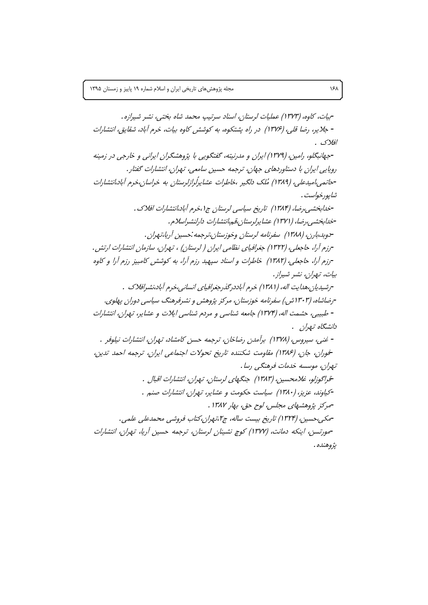-بيات، كاوه، (١٣٧٣) عمليات لرستان، اسناد سرتيب محمد شاه بختي، نشر شيرازه. - جلایر، رضا قلی، (۱۳۷۶) در راه پشتکوه، به کوشش کاوه بیات، خرم آباد، شقایق، انتشارات افلاك . -جهانبگلو، رامین، (۱۳۷۹) ایران و مدرنیته، گفتگویی با پژوهشگران ایرانی و خارجی در زمینه روپایی ایران با دستاوردهای جهان، ترجمه حسین سامعی، تهران، انتشارات گفتار . -جاتمه ،امیدعله ، (۱۳۸۹) مُلک دلگیر ،خاطرات عشاپرگرازلرستان به خراسان،خرم آباد،انتشارات شاپورخواست . -خدابخشی،رضا، (۱۳۸۴) تاریخ سیاسی لرستان ج۱،خرم آباد،انتشارات افلاک . -خدابخشبی، رضا، (۱۳۷۱) عشایرلرستان،قههانتشارات دارلنشیراسلام. -دوبد،بارن، (۱۳۸۸) سفرنامه لرستان وخوزستان،ترجمه :حسین آریا،تهران . -رزم آرا، حاجعلبي، (١٣٢٢) جغرافياي نظامي ايران ( لرستان) ، تـهران، سازمان انتشارات ارتش . -رزم آرا، حاجعلی، (۱۳۸۲) خاطرات و اسناد سپهبد رزم آرا، به کوشش کامبیز رزم آرا و کاوه بيات، تـهران، نشر شيراز . -رشیدبان،هدایت اله، (۱۳۸۱) خرم آباددر گذر جغرافیای انسانی،خرم آباد،نشیرافلاک په -رضاشاه، (۱۳۰۳ش.) سفرنامه خوزستان، مرکز پژوهش و نشرفرهنگ سیاسی دوران پهلوی. - طبیبی، حشمت اله، (۱۳۷۴) جامعه شناسی و مردم شناسی ایلات و عشایر، تهران، انتشارات دانشگاه تهران . - غنبي، سپروس، (١٣٧٨) برآمدن رضاخان، ترجمه حسن كامشاد، تهران، انتشارات نيلوفر . خوران، جان، (۱۳۸۶) مقاومت شكننده تاريخ تحولات اجتماعي ايران، ترجمه احمد تدين، تهران، موسسه خدمات فرهنگی رسا . -قراگوزلو، غلامحسین، (۱۳۸۳) جنگهای لرستان، تهران، انتشارات اقبال . -کیاوند، عزیز، (۱۳۸۰) سیاست حکومت و عشایر، تهران، انتشارات صنبر . -مركز پژوهشهای مجلس، لوح حق، بهار ۱۳۸۷ . -مكي،حسين، (١٣٢۴) تاريخ بيست ساله، ج١تهران،كتاب فروشي محمدعلي علمي. -مورتسن، اینکه دمانت، (۱۳۷۷) کوچ نشینان لرستان، ترجمه حسین آریا، تهران، انتشارات يژوهنده .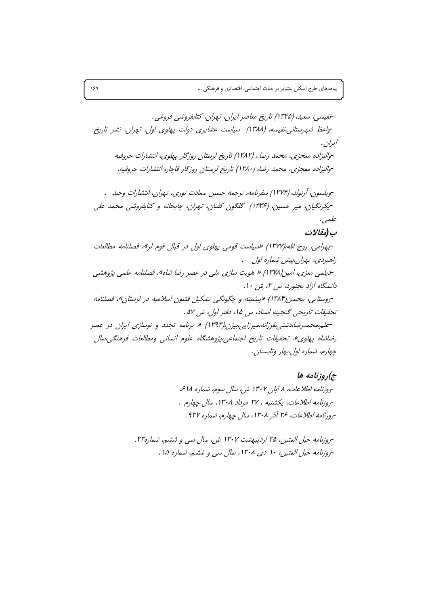ج)روزنامه ها

-روزنامه اطلاعات، ۸ آبان ۱۳۰۲ ش، سال سوم، شماره ۶۱۸. -روزنامه اطلاعات، يكشنبه ، ٢٧ مرداد ١٣٠٨، سال چهارم . -روزنامه اطلاعات، ۲۶ آذر ۱۳۰۸، سال چهارم، شماره ۹۲۷ .

-روزنامه حبل المتين، ٢۵ ارديبهشت ١٣٠٢ ش، سال سي و ششم، شماره٢٣. -روزنامه حبل المتين، ١٠ دى ١٣٠٨، سال سى و ششم، شماره ١٥ .